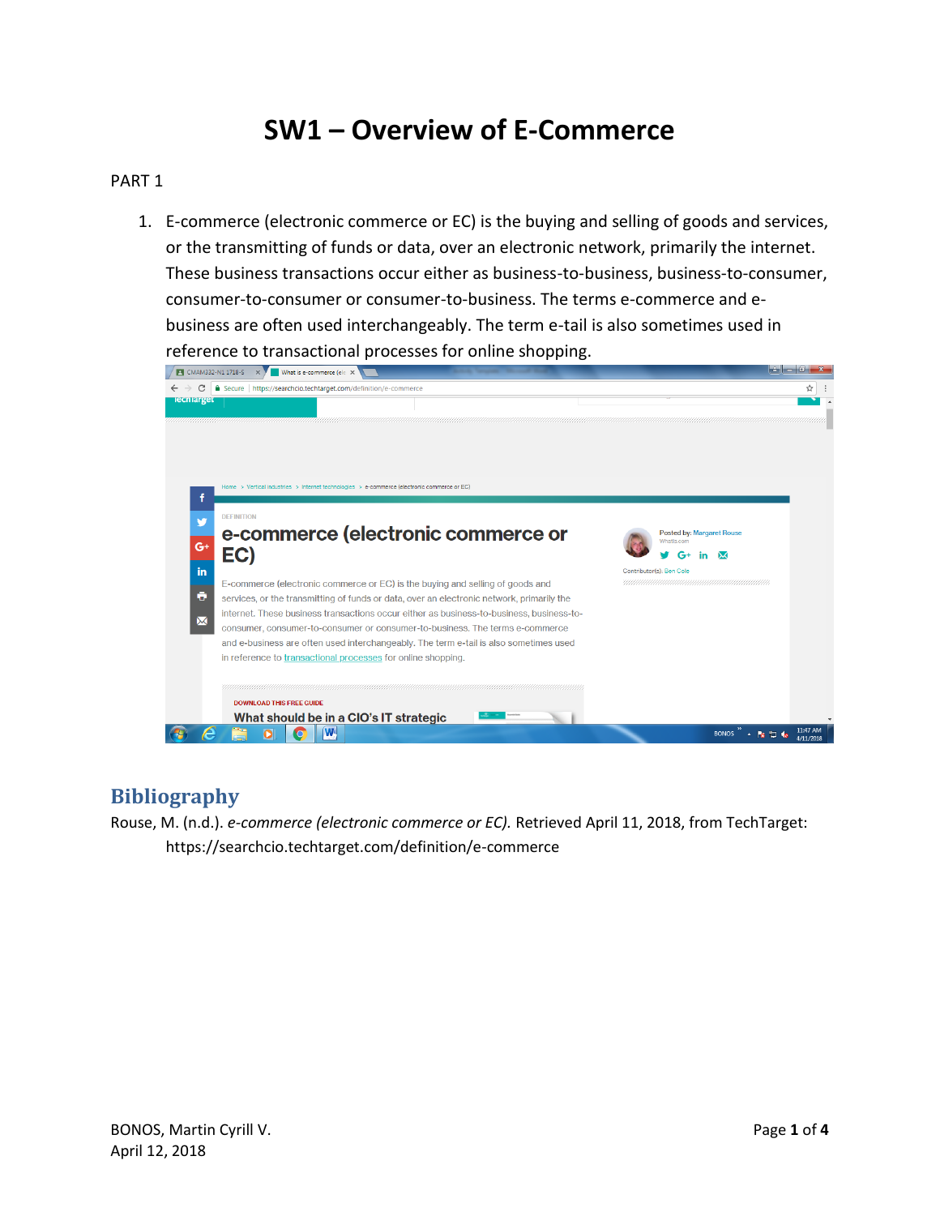## **SW1 – Overview of E-Commerce**

#### PART 1

1. E-commerce (electronic commerce or EC) is the buying and selling of goods and services, or the transmitting of funds or data, over an electronic network, primarily the internet. These business transactions occur either as business-to-business, business-to-consumer, consumer-to-consumer or consumer-to-business. The terms e-commerce and ebusiness are often used interchangeably. The term e-tail is also sometimes used in reference to transactional processes for online shopping.

| Secure   https://searchcio.techtarget.com/definition/e-commerce<br>C                        |                                                                                                                                                                       |                                                       |
|---------------------------------------------------------------------------------------------|-----------------------------------------------------------------------------------------------------------------------------------------------------------------------|-------------------------------------------------------|
| <b>Iecniarget</b>                                                                           |                                                                                                                                                                       |                                                       |
|                                                                                             |                                                                                                                                                                       |                                                       |
|                                                                                             |                                                                                                                                                                       |                                                       |
|                                                                                             |                                                                                                                                                                       |                                                       |
| Home > Vertical industries > Internet technologies > e-commerce (electronic commerce or EC) |                                                                                                                                                                       |                                                       |
| <b>DEFINITION</b>                                                                           |                                                                                                                                                                       |                                                       |
| $G+$                                                                                        | e-commerce (electronic commerce or                                                                                                                                    | Posted by: Margaret Rouse<br>Whatls com               |
| EC)                                                                                         |                                                                                                                                                                       |                                                       |
| in                                                                                          | E-commerce (electronic commerce or EC) is the buying and selling of goods and                                                                                         | Contributor(s): Ben Cole<br>ЧИНИНИНИНИНИНИНИНИНИНИНИН |
| ō                                                                                           | services, or the transmitting of funds or data, over an electronic network, primarily the                                                                             |                                                       |
| $\boxtimes$                                                                                 | internet. These business transactions occur either as business-to-business, business-to-                                                                              |                                                       |
|                                                                                             | consumer, consumer-to-consumer or consumer-to-business. The terms e-commerce<br>and e-business are often used interchangeably. The term e-tail is also sometimes used |                                                       |
| in reference to transactional processes for online shopping.                                |                                                                                                                                                                       |                                                       |
|                                                                                             | a shekarar 1970 haqida qayta tashka qayta tashka qayta tashka qayta tashka qayta tashka qayta tashka qayta tas                                                        |                                                       |
| <b>DOWNLOAD THIS FREE GUIDE</b>                                                             |                                                                                                                                                                       |                                                       |
|                                                                                             | What should be in a CIO's IT strategic                                                                                                                                |                                                       |

### **Bibliography**

Rouse, M. (n.d.). *e-commerce (electronic commerce or EC).* Retrieved April 11, 2018, from TechTarget: https://searchcio.techtarget.com/definition/e-commerce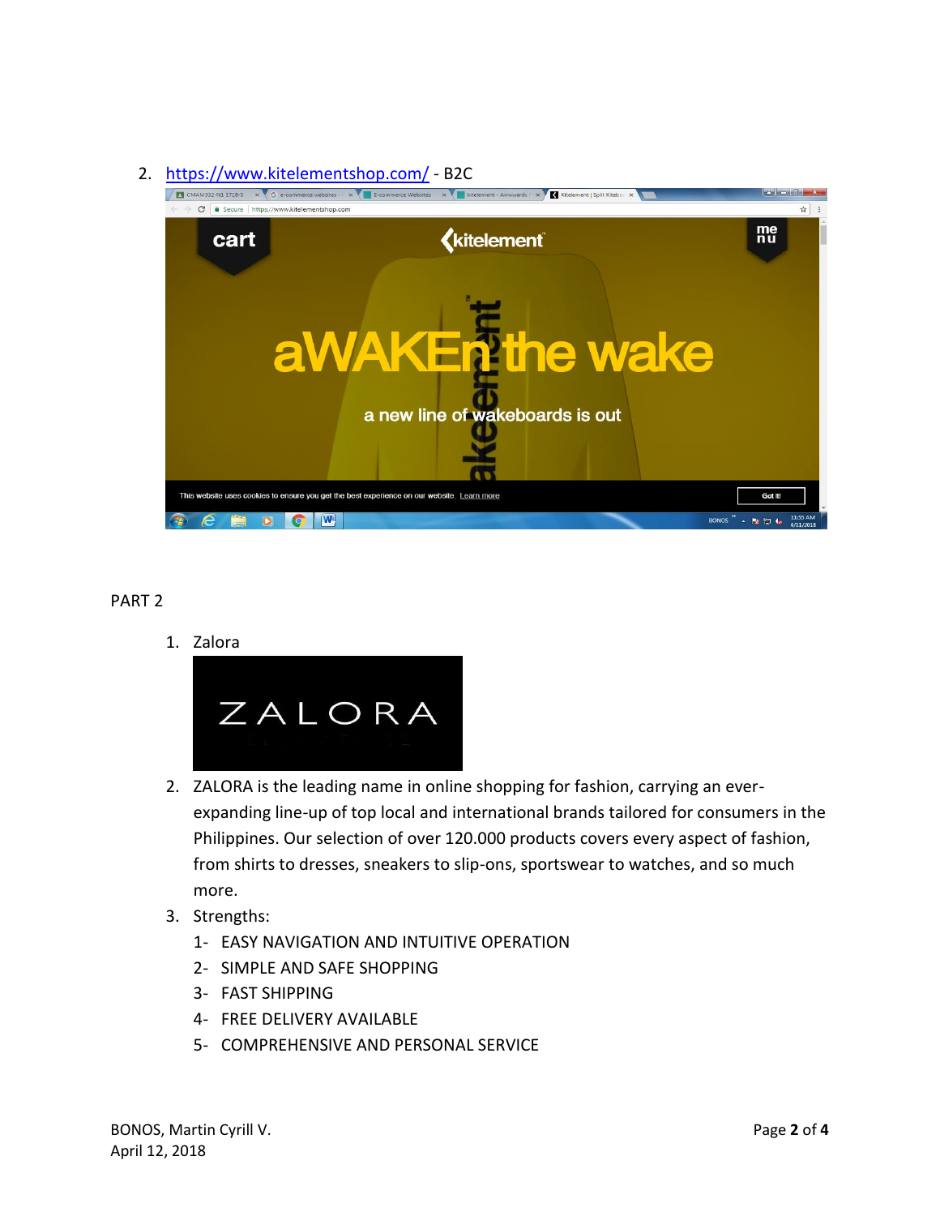# 2. <https://www.kitelementshop.com/> - B2C



#### PART 2

1. Zalora



- 2. ZALORA is the leading name in online shopping for fashion, carrying an everexpanding line-up of top local and international brands tailored for consumers in the Philippines. Our selection of over 120.000 products covers every aspect of fashion, from shirts to dresses, sneakers to slip-ons, sportswear to watches, and so much more.
- 3. Strengths:
	- 1- EASY NAVIGATION AND INTUITIVE OPERATION
	- 2- SIMPLE AND SAFE SHOPPING
	- 3- FAST SHIPPING
	- 4- FREE DELIVERY AVAILABLE
	- 5- COMPREHENSIVE AND PERSONAL SERVICE